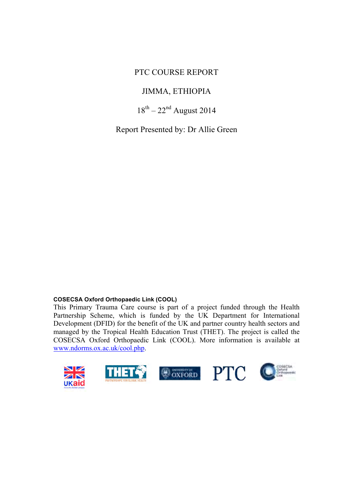### PTC COURSE REPORT

### JIMMA, ETHIOPIA

### $18^{th} - 22^{nd}$  August 2014

Report Presented by: Dr Allie Green

#### **COSECSA Oxford Orthopaedic Link (COOL)**

This Primary Trauma Care course is part of a project funded through the Health Partnership Scheme, which is funded by the UK Department for International Development (DFID) for the benefit of the UK and partner country health sectors and managed by the Tropical Health Education Trust (THET). The project is called the COSECSA Oxford Orthopaedic Link (COOL). More information is available at www.ndorms.ox.ac.uk/cool.php.

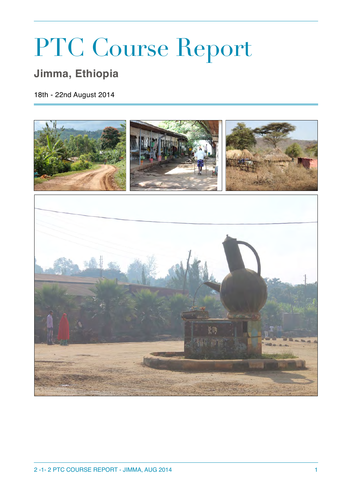# PTC Course Report

# **Jimma, Ethiopia**

18th - 22nd August 2014

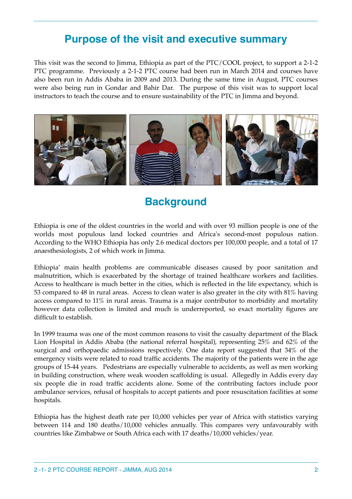## **Purpose of the visit and executive summary**

This visit was the second to Jimma, Ethiopia as part of the PTC/COOL project, to support a 2-1-2 PTC programme. Previously a 2-1-2 PTC course had been run in March 2014 and courses have also been run in Addis Ababa in 2009 and 2013. During the same time in August, PTC courses were also being run in Gondar and Bahir Dar. The purpose of this visit was to support local instructors to teach the course and to ensure sustainability of the PTC in Jimma and beyond.



## **Background**

Ethiopia is one of the oldest countries in the world and with over 93 million people is one of the worlds most populous land locked countries and Africa's second-most populous nation. According to the WHO Ethiopia has only 2.6 medical doctors per 100,000 people, and a total of 17 anaesthesiologists, 2 of which work in Jimma.

Ethiopia' main health problems are communicable diseases caused by poor sanitation and malnutrition, which is exacerbated by the shortage of trained healthcare workers and facilities. Access to healthcare is much better in the cities, which is reflected in the life expectancy, which is 53 compared to 48 in rural areas. Access to clean water is also greater in the city with 81% having access compared to 11% in rural areas. Trauma is a major contributor to morbidity and mortality however data collection is limited and much is underreported, so exact mortality figures are difficult to establish.

In 1999 trauma was one of the most common reasons to visit the casualty department of the Black Lion Hospital in Addis Ababa (the national referral hospital), representing 25% and 62% of the surgical and orthopaedic admissions respectively. One data report suggested that 34% of the emergency visits were related to road traffic accidents. The majority of the patients were in the age groups of 15-44 years. Pedestrians are especially vulnerable to accidents, as well as men working in building construction, where weak wooden scaffolding is usual. Allegedly in Addis every day six people die in road traffic accidents alone. Some of the contributing factors include poor ambulance services, refusal of hospitals to accept patients and poor resuscitation facilities at some hospitals.

Ethiopia has the highest death rate per 10,000 vehicles per year of Africa with statistics varying between 114 and 180 deaths/10,000 vehicles annually. This compares very unfavourably with countries like Zimbabwe or South Africa each with 17 deaths/10,000 vehicles/year.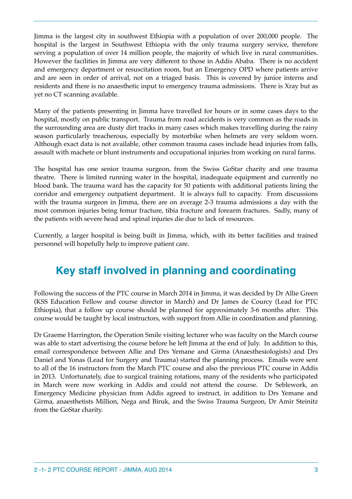Jimma is the largest city in southwest Ethiopia with a population of over 200,000 people. The hospital is the largest in Southwest Ethiopia with the only trauma surgery service, therefore serving a population of over 14 million people, the majority of which live in rural communities. However the facilities in Jimma are very different to those in Addis Ababa. There is no accident and emergency department or resuscitation room, but an Emergency OPD where patients arrive and are seen in order of arrival, not on a triaged basis. This is covered by junior interns and residents and there is no anaesthetic input to emergency trauma admissions. There is Xray but as yet no CT scanning available.

Many of the patients presenting in Jimma have travelled for hours or in some cases days to the hospital, mostly on public transport. Trauma from road accidents is very common as the roads in the surrounding area are dusty dirt tracks in many cases which makes travelling during the rainy season particularly treacherous, especially by motorbike when helmets are very seldom worn. Although exact data is not available, other common trauma cases include head injuries from falls, assault with machete or blunt instruments and occupational injuries from working on rural farms.

The hospital has one senior trauma surgeon, from the Swiss GoStar charity and one trauma theatre. There is limited running water in the hospital, inadequate equipment and currently no blood bank. The trauma ward has the capacity for 50 patients with additional patients lining the corridor and emergency outpatient department. It is always full to capacity. From discussions with the trauma surgeon in Jimma, there are on average 2-3 trauma admissions a day with the most common injuries being femur fracture, tibia fracture and forearm fractures. Sadly, many of the patients with severe head and spinal injuries die due to lack of resources.

Currently, a larger hospital is being built in Jimma, which, with its better facilities and trained personnel will hopefully help to improve patient care.

# **Key staff involved in planning and coordinating**

Following the success of the PTC course in March 2014 in Jimma, it was decided by Dr Allie Green (KSS Education Fellow and course director in March) and Dr James de Courcy (Lead for PTC Ethiopia), that a follow up course should be planned for approximately 3-6 months after. This course would be taught by local instructors, with support from Allie in coordination and planning.

Dr Graeme Harrington, the Operation Smile visiting lecturer who was faculty on the March course was able to start advertising the course before he left Jimma at the end of July. In addition to this, email correspondence between Allie and Drs Yemane and Girma (Anaesthesiologists) and Drs Daniel and Yonas (Lead for Surgery and Trauma) started the planning process. Emails were sent to all of the 16 instructors from the March PTC course and also the previous PTC course in Addis in 2013. Unfortunately, due to surgical training rotations, many of the residents who participated in March were now working in Addis and could not attend the course. Dr Seblework, an Emergency Medicine physician from Addis agreed to instruct, in addition to Drs Yemane and Girma, anaesthetists Million, Nega and Biruk, and the Swiss Trauma Surgeon, Dr Amir Steinitz from the GoStar charity.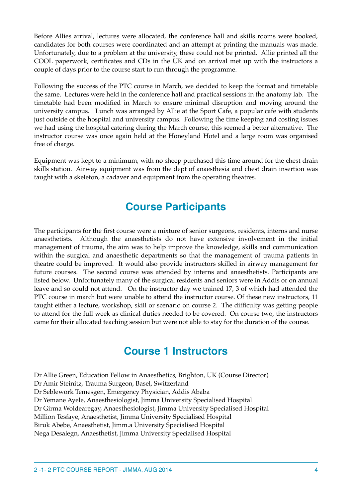Before Allies arrival, lectures were allocated, the conference hall and skills rooms were booked, candidates for both courses were coordinated and an attempt at printing the manuals was made. Unfortunately, due to a problem at the university, these could not be printed. Allie printed all the COOL paperwork, certificates and CDs in the UK and on arrival met up with the instructors a couple of days prior to the course start to run through the programme.

Following the success of the PTC course in March, we decided to keep the format and timetable the same. Lectures were held in the conference hall and practical sessions in the anatomy lab. The timetable had been modified in March to ensure minimal disruption and moving around the university campus. Lunch was arranged by Allie at the Sport Cafe, a popular cafe with students just outside of the hospital and university campus. Following the time keeping and costing issues we had using the hospital catering during the March course, this seemed a better alternative. The instructor course was once again held at the Honeyland Hotel and a large room was organised free of charge.

Equipment was kept to a minimum, with no sheep purchased this time around for the chest drain skills station. Airway equipment was from the dept of anaesthesia and chest drain insertion was taught with a skeleton, a cadaver and equipment from the operating theatres.

# **Course Participants**

The participants for the first course were a mixture of senior surgeons, residents, interns and nurse anaesthetists. Although the anaesthetists do not have extensive involvement in the initial management of trauma, the aim was to help improve the knowledge, skills and communication within the surgical and anaesthetic departments so that the management of trauma patients in theatre could be improved. It would also provide instructors skilled in airway management for future courses. The second course was attended by interns and anaesthetists. Participants are listed below. Unfortunately many of the surgical residents and seniors were in Addis or on annual leave and so could not attend. On the instructor day we trained 17, 3 of which had attended the PTC course in march but were unable to attend the instructor course. Of these new instructors, 11 taught either a lecture, workshop, skill or scenario on course 2. The difficulty was getting people to attend for the full week as clinical duties needed to be covered. On course two, the instructors came for their allocated teaching session but were not able to stay for the duration of the course.

# **Course 1 Instructors**

Dr Allie Green, Education Fellow in Anaesthetics, Brighton, UK (Course Director) Dr Amir Steinitz, Trauma Surgeon, Basel, Switzerland Dr Seblework Temesgen, Emergency Physician, Addis Ababa Dr Yemane Ayele, Anaesthesiologist, Jimma University Specialised Hospital Dr Girma Woldearegay, Anaesthesiologist, Jimma University Specialised Hospital Million Tesfaye, Anaesthetist, Jimma University Specialised Hospital Biruk Abebe, Anaesthetist, Jimm.a University Specialised Hospital Nega Desalegn, Anaesthetist, Jimma University Specialised Hospital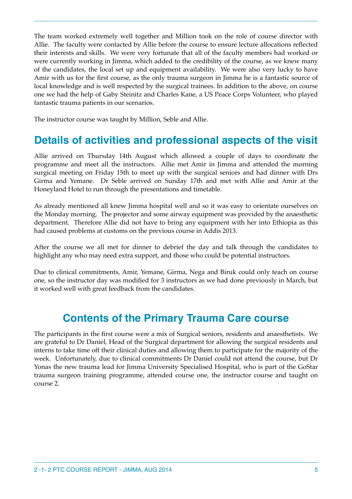The team worked extremely well together and Million took on the role of course director with Allie. The faculty were contacted by Allie before the course to ensure lecture allocations reflected their interests and skills. We were very fortunate that all of the faculty members had worked or were currently working in Jimma, which added to the credibility of the course, as we knew many of the candidates, the local set up and equipment availability. We were also very lucky to have Amir with us for the first course, as the only trauma surgeon in Jimma he is a fantastic source of local knowledge and is well respected by the surgical trainees. In addition to the above, on course one we had the help of Gaby Steinitz and Charles Kane, a US Peace Corps Volunteer, who played fantastic trauma patients in our scenarios.

The instructor course was taught by Million, Seble and Allie.

# **Details of activities and professional aspects of the visit**

Allie arrived on Thursday 14th August which allowed a couple of days to coordinate the programme and meet all the instructors. Allie met Amir in Jimma and attended the morning surgical meeting on Friday 15th to meet up with the surgical seniors and had dinner with Drs Girma and Yemane. Dr Seble arrived on Sunday 17th and met with Allie and Amir at the Honeyland Hotel to run through the presentations and timetable.

As already mentioned all knew Jimma hospital well and so it was easy to orientate ourselves on the Monday morning. The projector and some airway equipment was provided by the anaesthetic department. Therefore Allie did not have to bring any equipment with her into Ethiopia as this had caused problems at customs on the previous course in Addis 2013.

After the course we all met for dinner to debrief the day and talk through the candidates to highlight any who may need extra support, and those who could be potential instructors.

Due to clinical commitments, Amir, Yemane, Girma, Nega and Biruk could only teach on course one, so the instructor day was modified for 3 instructors as we had done previously in March, but it worked well with great feedback from the candidates.

## **Contents of the Primary Trauma Care course**

The participants in the first course were a mix of Surgical seniors, residents and anaesthetists. We are grateful to Dr Daniel, Head of the Surgical department for allowing the surgical residents and interns to take time off their clinical duties and allowing them to participate for the majority of the week. Unfortunately, due to clinical commitments Dr Daniel could not attend the course, but Dr Yonas the new trauma lead for Jimma University Specialised Hospital, who is part of the GoStar trauma surgeon training programme, attended course one, the instructor course and taught on course 2.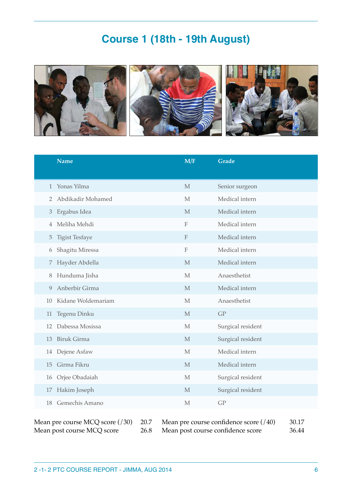# **Course 1 (18th - 19th August)**



|                | <b>Name</b>           | M/F                       | Grade             |
|----------------|-----------------------|---------------------------|-------------------|
| 1              | Yonas Yilma           | $\mathbf M$               | Senior surgeon    |
| $\overline{2}$ | Abdikadir Mohamed     | M                         | Medical intern    |
| $\mathfrak{Z}$ | Ergabus Idea          | M                         | Medical intern    |
| 4              | Meliha Mehdi          | $\mathbf F$               | Medical intern    |
| 5              | <b>Tigist Tesfaye</b> | $\boldsymbol{\mathrm{F}}$ | Medical intern    |
| 6              | Shagitu Miressa       | $\mathbf F$               | Medical intern    |
| 7              | Hayder Abdella        | M                         | Medical intern    |
| 8              | Hunduma Jisha         | M                         | Anaesthetist      |
| 9              | Anberbir Girma        | M                         | Medical intern    |
| 10             | Kidane Woldemariam    | M                         | Anaesthetist      |
| 11             | Tegenu Dinku          | M                         | GP                |
| 12             | Dabessa Mosissa       | $\mathbf{M}$              | Surgical resident |
| 13             | <b>Biruk Girma</b>    | M                         | Surgical resident |
| 14             | Dejene Asfaw          | M                         | Medical intern    |
| 15             | Girma Fikru           | $\mathbf M$               | Medical intern    |
| 16             | Orjee Obadaiah        | $\mathbf{M}$              | Surgical resident |
| 17             | Hakim Joseph          | M                         | Surgical resident |
| 18             | Gemechis Amano        | M                         | GP                |

Mean pre course MCQ score (/30) 20.7 Mean pre course confidence score (/40) 30.17 Mean post course MCQ score 26.8 Mean post course confidence score 36.44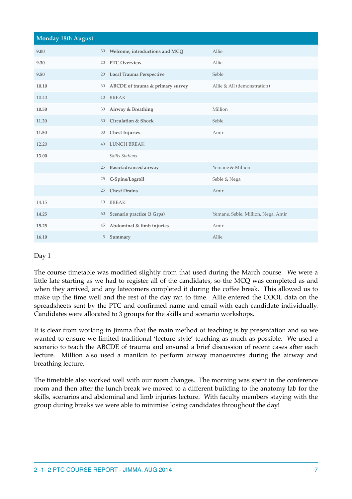| <b>Monday 18th August</b> |    |                                   |                                    |
|---------------------------|----|-----------------------------------|------------------------------------|
| 9.00                      |    | 30 Welcome, introductions and MCQ | Allie                              |
| 9.30                      | 20 | <b>PTC Overview</b>               | Allie                              |
| 9.50                      | 20 | Local Trauma Perspective          | Seble                              |
| 10.10                     | 30 | ABCDE of trauma & primary survey  | Allie & All (demonstration)        |
| 10.40                     | 10 | <b>BREAK</b>                      |                                    |
| 10.50                     | 30 | Airway & Breathing                | Million                            |
| 11.20                     | 30 | <b>Circulation &amp; Shock</b>    | Seble                              |
| 11.50                     | 30 | <b>Chest Injuries</b>             | Amir                               |
| 12.20                     | 40 | <b>LUNCH BREAK</b>                |                                    |
| 13.00                     |    | <b>Skills Stations</b>            |                                    |
|                           | 25 | Basic/advanced airway             | Yemane & Million                   |
|                           | 25 | C-Spine/Logroll                   | Seble & Nega                       |
|                           | 25 | <b>Chest Drains</b>               | Amir                               |
| 14.15                     | 10 | <b>BREAK</b>                      |                                    |
| 14.25                     | 60 | Scenario practice (3 Grps)        | Yemane, Seble, Million, Nega, Amir |
| 15.25                     | 45 | Abdominal & limb injuries         | Amir                               |
| 16.10                     | 5  | Summary                           | Allie                              |

The course timetable was modified slightly from that used during the March course. We were a little late starting as we had to register all of the candidates, so the MCQ was completed as and when they arrived, and any latecomers completed it during the coffee break. This allowed us to make up the time well and the rest of the day ran to time. Allie entered the COOL data on the spreadsheets sent by the PTC and confirmed name and email with each candidate individually. Candidates were allocated to 3 groups for the skills and scenario workshops.

It is clear from working in Jimma that the main method of teaching is by presentation and so we wanted to ensure we limited traditional 'lecture style' teaching as much as possible. We used a scenario to teach the ABCDE of trauma and ensured a brief discussion of recent cases after each lecture. Million also used a manikin to perform airway manoeuvres during the airway and breathing lecture.

The timetable also worked well with our room changes. The morning was spent in the conference room and then after the lunch break we moved to a different building to the anatomy lab for the skills, scenarios and abdominal and limb injuries lecture. With faculty members staying with the group during breaks we were able to minimise losing candidates throughout the day!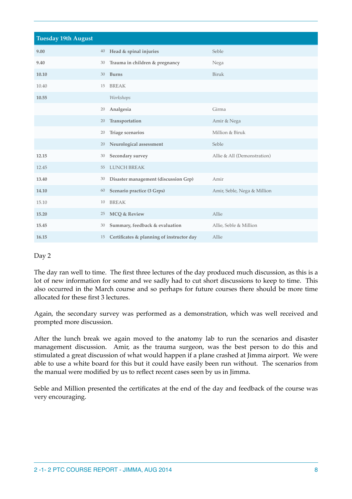| <b>Tuesday 19th August</b> |    |                                           |                             |
|----------------------------|----|-------------------------------------------|-----------------------------|
| 9.00                       | 40 | Head & spinal injuries                    | Seble                       |
| 9.40                       | 30 | Trauma in children & pregnancy            | Nega                        |
| 10.10                      | 30 | <b>Burns</b>                              | Biruk                       |
| 10.40                      | 15 | <b>BREAK</b>                              |                             |
| 10.55                      |    | Workshops                                 |                             |
|                            | 20 | Analgesia                                 | Girma                       |
|                            | 20 | Transportation                            | Amir & Nega                 |
|                            | 20 | Triage scenarios                          | Million & Biruk             |
|                            | 20 | Neurological assessment                   | Seble                       |
| 12.15                      | 30 | Secondary survey                          | Allie & All (Demonstration) |
| 12.45                      | 55 | <b>LUNCH BREAK</b>                        |                             |
| 13.40                      | 30 | Disaster management (discussion Grp)      | Amir                        |
| 14.10                      | 60 | Scenario practice (3 Grps)                | Amir, Seble, Nega & Million |
| 15.10                      | 10 | <b>BREAK</b>                              |                             |
| 15.20                      | 25 | <b>MCQ &amp; Review</b>                   | Allie                       |
| 15.45                      | 30 | Summary, feedback & evaluation            | Allie, Seble & Million      |
| 16.15                      | 15 | Certificates & planning of instructor day | Allie                       |

The day ran well to time. The first three lectures of the day produced much discussion, as this is a lot of new information for some and we sadly had to cut short discussions to keep to time. This also occurred in the March course and so perhaps for future courses there should be more time allocated for these first 3 lectures.

Again, the secondary survey was performed as a demonstration, which was well received and prompted more discussion.

After the lunch break we again moved to the anatomy lab to run the scenarios and disaster management discussion. Amir, as the trauma surgeon, was the best person to do this and stimulated a great discussion of what would happen if a plane crashed at Jimma airport. We were able to use a white board for this but it could have easily been run without. The scenarios from the manual were modified by us to reflect recent cases seen by us in Jimma.

Seble and Million presented the certificates at the end of the day and feedback of the course was very encouraging.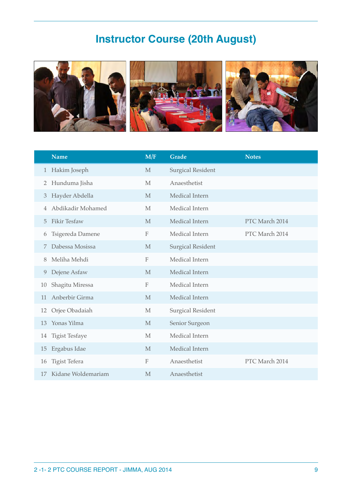# **Instructor Course (20th August)**



|          | <b>Name</b>           | M/F            | <b>Grade</b>             | <b>Notes</b>   |
|----------|-----------------------|----------------|--------------------------|----------------|
| $1\vert$ | Hakim Joseph          | $\mathbf{M}$   | <b>Surgical Resident</b> |                |
| 2        | Hunduma Jisha         | M              | Anaesthetist             |                |
| 3        | Hayder Abdella        | M              | Medical Intern           |                |
| 4        | Abdikadir Mohamed     | M              | Medical Intern           |                |
| 5        | <b>Fikir Tesfaw</b>   | M              | Medical Intern           | PTC March 2014 |
| b        | Tsigereda Damene      | $\mathbf F$    | Medical Intern           | PTC March 2014 |
| 7        | Dabessa Mosissa       | M              | <b>Surgical Resident</b> |                |
| 8        | Meliha Mehdi          | $\overline{F}$ | Medical Intern           |                |
| 9        | Dejene Asfaw          | M              | Medical Intern           |                |
| 10       | Shagitu Miressa       | F              | Medical Intern           |                |
| 11       | Anberbir Girma        | M              | Medical Intern           |                |
| 12       | Orjee Obadaiah        | M              | <b>Surgical Resident</b> |                |
| 13       | Yonas Yilma           | M              | Senior Surgeon           |                |
| 14       | <b>Tigist Tesfaye</b> | $\mathbf{M}$   | Medical Intern           |                |
| 15       | Ergabus Idae          | M              | Medical Intern           |                |
| 16       | Tigist Tefera         | $\mathbf F$    | Anaesthetist             | PTC March 2014 |
| 17       | Kidane Woldemariam    | M              | Anaesthetist             |                |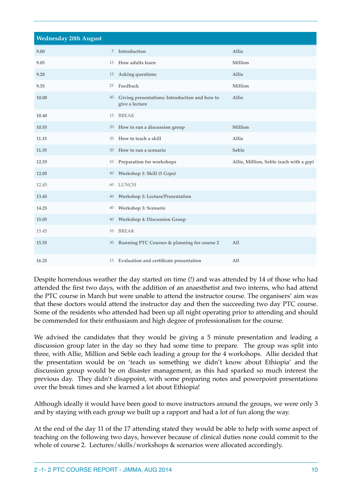| <b>Wednesday 20th August</b> |    |                                                                 |                                         |
|------------------------------|----|-----------------------------------------------------------------|-----------------------------------------|
| 9.00                         |    | 5 Introduction                                                  | Allie                                   |
| 9.05                         |    | 15 How adults learn                                             | Million                                 |
| 9.20                         | 15 | Asking questions                                                | Allie                                   |
| 9.35                         | 25 | Feedback                                                        | Million                                 |
| 10.00                        | 40 | Giving presentations: Introduction and how to<br>give a lecture | Allie                                   |
| 10.40                        | 15 | <b>BREAK</b>                                                    |                                         |
| 10.55                        |    | 20 How to run a discussion group                                | Million                                 |
| 11.15                        | 20 | How to teach a skill                                            | Allie                                   |
| 11.35                        |    | 20 How to run a scenario                                        | Seble                                   |
| 12.55                        | 10 | Preparation for workshops                                       | Allie, Million, Seble (each with a grp) |
| 12.05                        | 40 | Workshop 1: Skill (3 Grps)                                      |                                         |
| 12.45                        | 60 | <b>LUNCH</b>                                                    |                                         |
| 13.45                        | 40 | <b>Workshop 2: Lecture/Presentation</b>                         |                                         |
| 14.25                        | 40 | Workshop 3: Scenario                                            |                                         |
| 15.05                        | 40 | <b>Workshop 4: Discussion Group</b>                             |                                         |
| 15.45                        | 10 | <b>BREAK</b>                                                    |                                         |
| 15.55                        | 30 | Running PTC Courses & planning for course 2                     | All                                     |
| 16.25                        |    | 15 Evaluation and certificate presentation                      | All                                     |

Despite horrendous weather the day started on time (!) and was attended by 14 of those who had attended the first two days, with the addition of an anaesthetist and two interns, who had attend the PTC course in March but were unable to attend the instructor course. The organisers' aim was that these doctors would attend the instructor day and then the succeeding two day PTC course. Some of the residents who attended had been up all night operating prior to attending and should be commended for their enthusiasm and high degree of professionalism for the course.

We advised the candidates that they would be giving a 5 minute presentation and leading a discussion group later in the day so they had some time to prepare. The group was split into three, with Allie, Million and Seble each leading a group for the 4 workshops. Allie decided that the presentation would be on 'teach us something we didn't know about Ethiopia' and the discussion group would be on disaster management, as this had sparked so much interest the previous day. They didn't disappoint, with some preparing notes and powerpoint presentations over the break times and she learned a lot about Ethiopia!

Although ideally it would have been good to move instructors around the groups, we were only 3 and by staying with each group we built up a rapport and had a lot of fun along the way.

At the end of the day 11 of the 17 attending stated they would be able to help with some aspect of teaching on the following two days, however because of clinical duties none could commit to the whole of course 2. Lectures/skills/workshops & scenarios were allocated accordingly.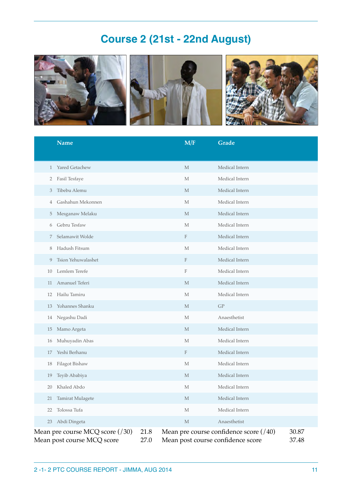# **Course 2 (21st - 22nd August)**



|                                                                 | <b>Name</b>        |              | M/F                               | Grade                                  |                |
|-----------------------------------------------------------------|--------------------|--------------|-----------------------------------|----------------------------------------|----------------|
| 1                                                               | Yared Getachew     |              | M                                 | Medical Intern                         |                |
| 2                                                               | Fasil Tesfaye      |              | М                                 | Medical Intern                         |                |
| 3                                                               | Tibebu Alemu       |              | M                                 | Medical Intern                         |                |
| 4                                                               | Gashahun Mekonnen  |              | М                                 | Medical Intern                         |                |
| 5                                                               | Mesganaw Melaku    |              | M                                 | Medical Intern                         |                |
| 6                                                               | Gebru Tesfaw       |              | М                                 | Medical Intern                         |                |
| 7                                                               | Selamawit Wolde    |              | F                                 | Medical Intern                         |                |
| 8                                                               | Hadush Fitsum      |              | M                                 | Medical Intern                         |                |
| 9                                                               | Tsion Yehuwalashet |              | F                                 | Medical Intern                         |                |
| 10                                                              | Lemlem Terefe      |              | $\mathbf F$                       | Medical Intern                         |                |
| 11                                                              | Amanuel Teferi     |              | M                                 | Medical Intern                         |                |
| 12                                                              | Hailu Tamiru       |              | М                                 | Medical Intern                         |                |
| 13                                                              | Yohannes Shanku    |              | M                                 | GP                                     |                |
| 14                                                              | Negashu Dadi       |              | M                                 | Anaesthetist                           |                |
| 15                                                              | Mamo Argeta        |              | M                                 | Medical Intern                         |                |
| 16                                                              | Muhuyadin Abas     |              | М                                 | Medical Intern                         |                |
| 17                                                              | Yeshi Berhanu      |              | F                                 | Medical Intern                         |                |
| 18                                                              | Filagot Bishaw     |              | M                                 | Medical Intern                         |                |
| 19                                                              | Teyib Ababiya      |              | M                                 | Medical Intern                         |                |
| 20                                                              | Khaled Abdo        |              | М                                 | Medical Intern                         |                |
| 21                                                              | Tamirat Mulagete   |              | М                                 | Medical Intern                         |                |
| 22                                                              | Tolossa Tufa       |              | М                                 | Medical Intern                         |                |
| 23                                                              | Abdi Dingeta       |              | M                                 | Anaesthetist                           |                |
| Mean pre course MCQ score $(730)$<br>Mean post course MCQ score |                    | 21.8<br>27.0 | Mean post course confidence score | Mean pre course confidence score (/40) | 30.87<br>37.48 |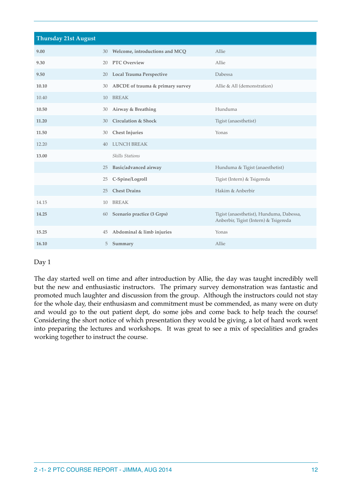| <b>Thursday 21st August</b> |    |                                  |                                                                                   |
|-----------------------------|----|----------------------------------|-----------------------------------------------------------------------------------|
| 9.00                        | 30 | Welcome, introductions and MCQ   | Allie                                                                             |
| 9.30                        | 20 | <b>PTC Overview</b>              | Allie                                                                             |
| 9.50                        | 20 | Local Trauma Perspective         | Dabessa                                                                           |
| 10.10                       | 30 | ABCDE of trauma & primary survey | Allie & All (demonstration)                                                       |
| 10.40                       | 10 | <b>BREAK</b>                     |                                                                                   |
| 10.50                       | 30 | Airway & Breathing               | Hunduma                                                                           |
| 11.20                       | 30 | <b>Circulation &amp; Shock</b>   | Tigist (anaesthetist)                                                             |
| 11.50                       | 30 | <b>Chest Injuries</b>            | Yonas                                                                             |
| 12.20                       | 40 | <b>LUNCH BREAK</b>               |                                                                                   |
| 13.00                       |    | <b>Skills Stations</b>           |                                                                                   |
|                             | 25 | Basic/advanced airway            | Hunduma & Tigist (anaesthetist)                                                   |
|                             | 25 | C-Spine/Logroll                  | Tigist (Intern) & Tsigereda                                                       |
|                             | 25 | <b>Chest Drains</b>              | Hakim & Anberbir                                                                  |
| 14.15                       | 10 | <b>BREAK</b>                     |                                                                                   |
| 14.25                       | 60 | Scenario practice (3 Grps)       | Tigist (anaesthetist), Hunduma, Dabessa,<br>Anberbir, Tigist (Intern) & Tsigereda |
| 15.25                       | 45 | Abdominal & limb injuries        | Yonas                                                                             |
| 16.10                       | 5  | Summary                          | Allie                                                                             |

The day started well on time and after introduction by Allie, the day was taught incredibly well but the new and enthusiastic instructors. The primary survey demonstration was fantastic and promoted much laughter and discussion from the group. Although the instructors could not stay for the whole day, their enthusiasm and commitment must be commended, as many were on duty and would go to the out patient dept, do some jobs and come back to help teach the course! Considering the short notice of which presentation they would be giving, a lot of hard work went into preparing the lectures and workshops. It was great to see a mix of specialities and grades working together to instruct the course.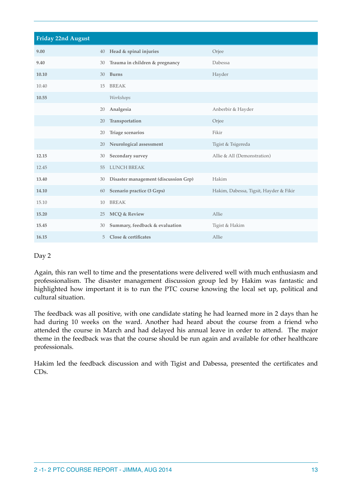| Friday 22nd August |    |                                      |                                        |
|--------------------|----|--------------------------------------|----------------------------------------|
| 9.00               | 40 | Head & spinal injuries               | Orjee                                  |
| 9.40               | 30 | Trauma in children & pregnancy       | Dabessa                                |
| 10.10              | 30 | <b>Burns</b>                         | Hayder                                 |
| 10.40              | 15 | <b>BREAK</b>                         |                                        |
| 10.55              |    | Workshops                            |                                        |
|                    | 20 | Analgesia                            | Anberbir & Hayder                      |
|                    | 20 | Transportation                       | Orjee                                  |
|                    | 20 | Triage scenarios                     | Fikir                                  |
|                    | 20 | Neurological assessment              | Tigist & Tsigereda                     |
| 12.15              | 30 | Secondary survey                     | Allie & All (Demonstration)            |
| 12.45              | 55 | <b>LUNCH BREAK</b>                   |                                        |
| 13.40              | 30 | Disaster management (discussion Grp) | Hakim                                  |
| 14.10              | 60 | Scenario practice (3 Grps)           | Hakim, Dabessa, Tigsit, Hayder & Fikir |
| 15.10              | 10 | <b>BREAK</b>                         |                                        |
| 15.20              | 25 | <b>MCQ &amp; Review</b>              | Allie                                  |
| 15.45              | 30 | Summary, feedback & evaluation       | Tigist & Hakim                         |
| 16.15              | 5  | Close & certificates                 | Allie                                  |

Again, this ran well to time and the presentations were delivered well with much enthusiasm and professionalism. The disaster management discussion group led by Hakim was fantastic and highlighted how important it is to run the PTC course knowing the local set up, political and cultural situation.

The feedback was all positive, with one candidate stating he had learned more in 2 days than he had during 10 weeks on the ward. Another had heard about the course from a friend who attended the course in March and had delayed his annual leave in order to attend. The major theme in the feedback was that the course should be run again and available for other healthcare professionals.

Hakim led the feedback discussion and with Tigist and Dabessa, presented the certificates and CDs.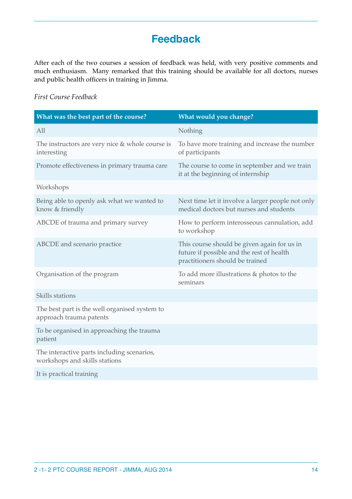# **Feedback**

After each of the two courses a session of feedback was held, with very positive comments and much enthusiasm. Many remarked that this training should be available for all doctors, nurses and public health officers in training in Jimma.

### *First Course Feedback*

| What was the best part of the course?                                       | What would you change?                                                                                                      |
|-----------------------------------------------------------------------------|-----------------------------------------------------------------------------------------------------------------------------|
| All                                                                         | Nothing                                                                                                                     |
| The instructors are very nice $&$ whole course is<br>interesting            | To have more training and increase the number<br>of participants                                                            |
| Promote effectiveness in primary trauma care                                | The course to come in september and we train<br>it at the beginning of internship                                           |
| Workshops                                                                   |                                                                                                                             |
| Being able to openly ask what we wanted to<br>know & friendly               | Next time let it involve a larger people not only<br>medical doctors but nurses and students                                |
| ABCDE of trauma and primary survey                                          | How to perform interosseous cannulation, add<br>to workshop                                                                 |
| ABCDE and scenario practice                                                 | This course should be given again for us in<br>future if possible and the rest of health<br>practitioners should be trained |
| Organisation of the program                                                 | To add more illustrations $&$ photos to the<br>seminars                                                                     |
| Skills stations                                                             |                                                                                                                             |
| The best part is the well organised system to<br>approach trauma patents    |                                                                                                                             |
| To be organised in approaching the trauma<br>patient                        |                                                                                                                             |
| The interactive parts including scenarios,<br>workshops and skills stations |                                                                                                                             |
| It is practical training                                                    |                                                                                                                             |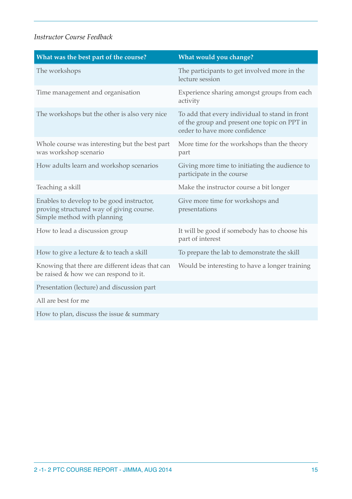### *Instructor Course Feedback*

| What was the best part of the course?                                                                                | What would you change?                                                                                                          |
|----------------------------------------------------------------------------------------------------------------------|---------------------------------------------------------------------------------------------------------------------------------|
| The workshops                                                                                                        | The participants to get involved more in the<br>lecture session                                                                 |
| Time management and organisation                                                                                     | Experience sharing amongst groups from each<br>activity                                                                         |
| The workshops but the other is also very nice                                                                        | To add that every individual to stand in front<br>of the group and present one topic on PPT in<br>order to have more confidence |
| Whole course was interesting but the best part<br>was workshop scenario                                              | More time for the workshops than the theory<br>part                                                                             |
| How adults learn and workshop scenarios                                                                              | Giving more time to initiating the audience to<br>participate in the course                                                     |
| Teaching a skill                                                                                                     | Make the instructor course a bit longer                                                                                         |
| Enables to develop to be good instructor,<br>proving structured way of giving course.<br>Simple method with planning | Give more time for workshops and<br>presentations                                                                               |
| How to lead a discussion group                                                                                       | It will be good if somebody has to choose his<br>part of interest                                                               |
| How to give a lecture & to teach a skill                                                                             | To prepare the lab to demonstrate the skill                                                                                     |
| Knowing that there are different ideas that can<br>be raised & how we can respond to it.                             | Would be interesting to have a longer training                                                                                  |
| Presentation (lecture) and discussion part                                                                           |                                                                                                                                 |
| All are best for me                                                                                                  |                                                                                                                                 |
| How to plan, discuss the issue $&$ summary                                                                           |                                                                                                                                 |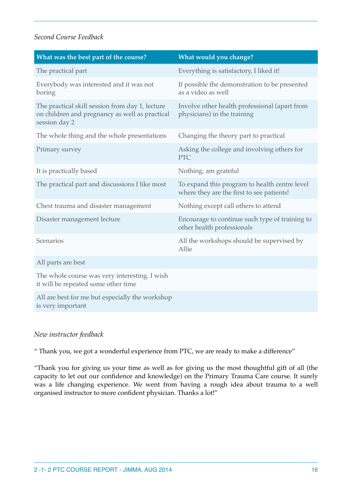### *Second Course Feedback*

| What was the best part of the course?                                                                              | What would you change?                                                                     |
|--------------------------------------------------------------------------------------------------------------------|--------------------------------------------------------------------------------------------|
| The practical part                                                                                                 | Everything is satisfactory, I liked it!                                                    |
| Everybody was interested and it was not<br>boring                                                                  | If possible the demonstration to be presented<br>as a video as well                        |
| The practical skill session from day 1, lecture<br>on children and pregnancy as well as practical<br>session day 2 | Involve other health professional (apart from<br>physicians) in the training               |
| The whole thing and the whole presentations                                                                        | Changing the theory part to practical                                                      |
| Primary survey                                                                                                     | Asking the college and involving others for<br><b>PTC</b>                                  |
| It is practically based                                                                                            | Nothing, am grateful                                                                       |
| The practical part and discussions I like most                                                                     | To expand this program to health centre level<br>where they are the first to see patients! |
| Chest trauma and disaster management                                                                               | Nothing except call others to attend                                                       |
| Disaster management lecture                                                                                        | Encourage to continue such type of training to<br>other health professionals               |
| Scenarios                                                                                                          | All the workshops should be supervised by<br>Allie                                         |
| All parts are best                                                                                                 |                                                                                            |
| The whole course was very interesting. I wish<br>it will be repeated some other time                               |                                                                                            |
| All are best for me but especially the workshop<br>is very important                                               |                                                                                            |

### *New instructor feedback*

" Thank you, we got a wonderful experience from PTC, we are ready to make a difference"

"Thank you for giving us your time as well as for giving us the most thoughtful gift of all (the capacity to let out our confidence and knowledge) on the Primary Trauma Care course. It surely was a life changing experience. We went from having a rough idea about trauma to a well organised instructor to more confident physician. Thanks a lot!"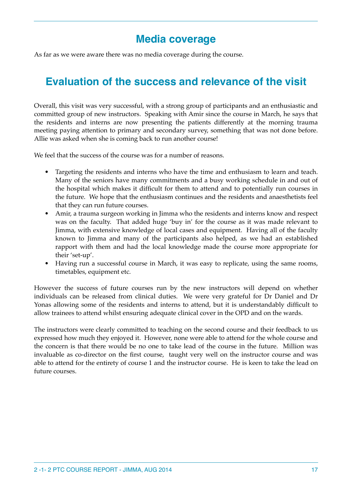# **Media coverage**

As far as we were aware there was no media coverage during the course.

# **Evaluation of the success and relevance of the visit**

Overall, this visit was very successful, with a strong group of participants and an enthusiastic and committed group of new instructors. Speaking with Amir since the course in March, he says that the residents and interns are now presenting the patients differently at the morning trauma meeting paying attention to primary and secondary survey, something that was not done before. Allie was asked when she is coming back to run another course!

We feel that the success of the course was for a number of reasons.

- Targeting the residents and interns who have the time and enthusiasm to learn and teach. Many of the seniors have many commitments and a busy working schedule in and out of the hospital which makes it difficult for them to attend and to potentially run courses in the future. We hope that the enthusiasm continues and the residents and anaesthetists feel that they can run future courses.
- Amir, a trauma surgeon working in Jimma who the residents and interns know and respect was on the faculty. That added huge 'buy in' for the course as it was made relevant to Jimma, with extensive knowledge of local cases and equipment. Having all of the faculty known to Jimma and many of the participants also helped, as we had an established rapport with them and had the local knowledge made the course more appropriate for their 'set-up'.
- Having run a successful course in March, it was easy to replicate, using the same rooms, timetables, equipment etc.

However the success of future courses run by the new instructors will depend on whether individuals can be released from clinical duties. We were very grateful for Dr Daniel and Dr Yonas allowing some of the residents and interns to attend, but it is understandably difficult to allow trainees to attend whilst ensuring adequate clinical cover in the OPD and on the wards.

The instructors were clearly committed to teaching on the second course and their feedback to us expressed how much they enjoyed it. However, none were able to attend for the whole course and the concern is that there would be no one to take lead of the course in the future. Million was invaluable as co-director on the first course, taught very well on the instructor course and was able to attend for the entirety of course 1 and the instructor course. He is keen to take the lead on future courses.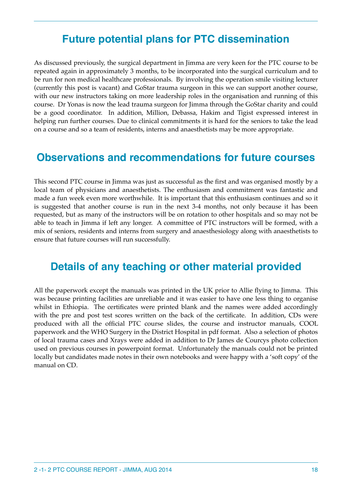# **Future potential plans for PTC dissemination**

As discussed previously, the surgical department in Jimma are very keen for the PTC course to be repeated again in approximately 3 months, to be incorporated into the surgical curriculum and to be run for non medical healthcare professionals. By involving the operation smile visiting lecturer (currently this post is vacant) and GoStar trauma surgeon in this we can support another course, with our new instructors taking on more leadership roles in the organisation and running of this course. Dr Yonas is now the lead trauma surgeon for Jimma through the GoStar charity and could be a good coordinator. In addition, Million, Debassa, Hakim and Tigist expressed interest in helping run further courses. Due to clinical commitments it is hard for the seniors to take the lead on a course and so a team of residents, interns and anaesthetists may be more appropriate.

### **Observations and recommendations for future courses**

This second PTC course in Jimma was just as successful as the first and was organised mostly by a local team of physicians and anaesthetists. The enthusiasm and commitment was fantastic and made a fun week even more worthwhile. It is important that this enthusiasm continues and so it is suggested that another course is run in the next 3-4 months, not only because it has been requested, but as many of the instructors will be on rotation to other hospitals and so may not be able to teach in Jimma if left any longer. A committee of PTC instructors will be formed, with a mix of seniors, residents and interns from surgery and anaesthesiology along with anaesthetists to ensure that future courses will run successfully.

## **Details of any teaching or other material provided**

All the paperwork except the manuals was printed in the UK prior to Allie flying to Jimma. This was because printing facilities are unreliable and it was easier to have one less thing to organise whilst in Ethiopia. The certificates were printed blank and the names were added accordingly with the pre and post test scores written on the back of the certificate. In addition, CDs were produced with all the official PTC course slides, the course and instructor manuals, COOL paperwork and the WHO Surgery in the District Hospital in pdf format. Also a selection of photos of local trauma cases and Xrays were added in addition to Dr James de Courcys photo collection used on previous courses in powerpoint format. Unfortunately the manuals could not be printed locally but candidates made notes in their own notebooks and were happy with a 'soft copy' of the manual on CD.